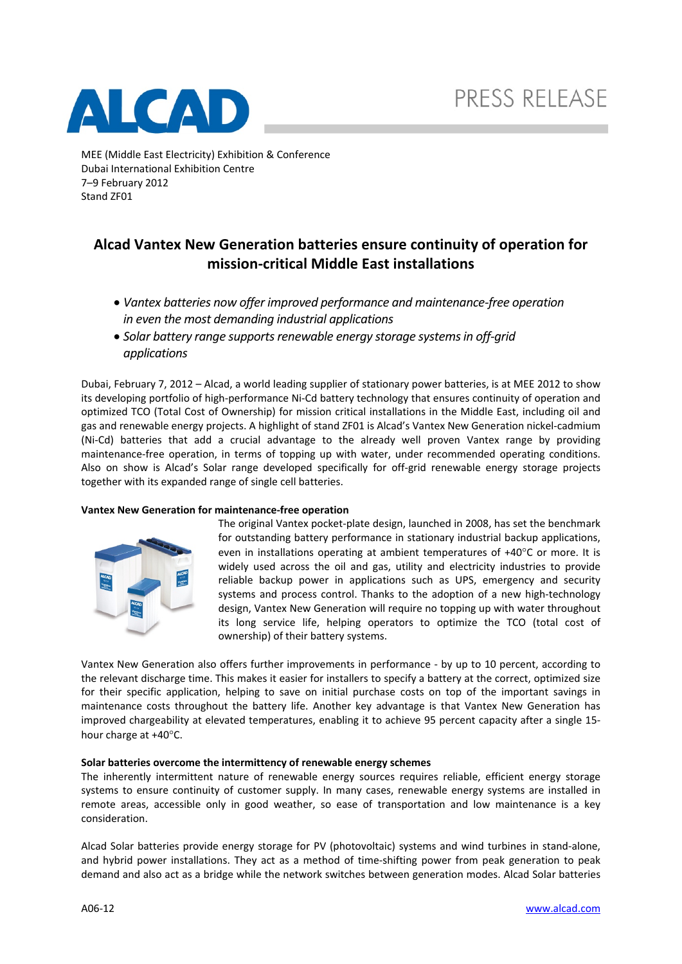

MEE (Middle East Electricity) Exhibition & Conference Dubai International Exhibition Centre 7–9 February 2012 Stand ZF01

## **Alcad Vantex New Generation batteries ensure continuity of operation for mission‐critical Middle East installations**

- *Vantex batteries now offer improved performance and maintenance‐free operation in even the most demanding industrial applications*
- *Solar* battery range *supports renewable energy storage systems in off-grid applications*

Dubai, February 7, 2012 – Alcad, a world leading supplier of stationary power batteries, is at MEE 2012 to show its developing portfolio of high‐performance Ni‐Cd battery technology that ensures continuity of operation and optimized TCO (Total Cost of Ownership) for mission critical installations in the Middle East, including oil and gas and renewable energy projects. A highlight of stand ZF01 is Alcad's Vantex New Generation nickel‐cadmium (Ni‐Cd) batteries that add a crucial advantage to the already well proven Vantex range by providing maintenance-free operation, in terms of topping up with water, under recommended operating conditions. Also on show is Alcad's Solar range developed specifically for off‐grid renewable energy storage projects together with its expanded range of single cell batteries.

## **Vantex New Generation for maintenance‐free operation**



The original Vantex pocket-plate design, launched in 2008, has set the benchmark for outstanding battery performance in stationary industrial backup applications, even in installations operating at ambient temperatures of  $+40^{\circ}$ C or more. It is widely used across the oil and gas, utility and electricity industries to provide reliable backup power in applications such as UPS, emergency and security systems and process control. Thanks to the adoption of a new high-technology design, Vantex New Generation will require no topping up with water throughout its long service life, helping operators to optimize the TCO (total cost of ownership) of their battery systems.

Vantex New Generation also offers further improvements in performance ‐ by up to 10 percent, according to the relevant discharge time. This makes it easier for installers to specify a battery at the correct, optimized size for their specific application, helping to save on initial purchase costs on top of the important savings in maintenance costs throughout the battery life. Another key advantage is that Vantex New Generation has improved chargeability at elevated temperatures, enabling it to achieve 95 percent capacity after a single 15‐ hour charge at  $+40^{\circ}$ C.

## **Solar batteries overcome the intermittency of renewable energy schemes**

The inherently intermittent nature of renewable energy sources requires reliable, efficient energy storage systems to ensure continuity of customer supply. In many cases, renewable energy systems are installed in remote areas, accessible only in good weather, so ease of transportation and low maintenance is a key consideration.

Alcad Solar batteries provide energy storage for PV (photovoltaic) systems and wind turbines in stand‐alone, and hybrid power installations. They act as a method of time-shifting power from peak generation to peak demand and also act as a bridge while the network switches between generation modes. Alcad Solar batteries